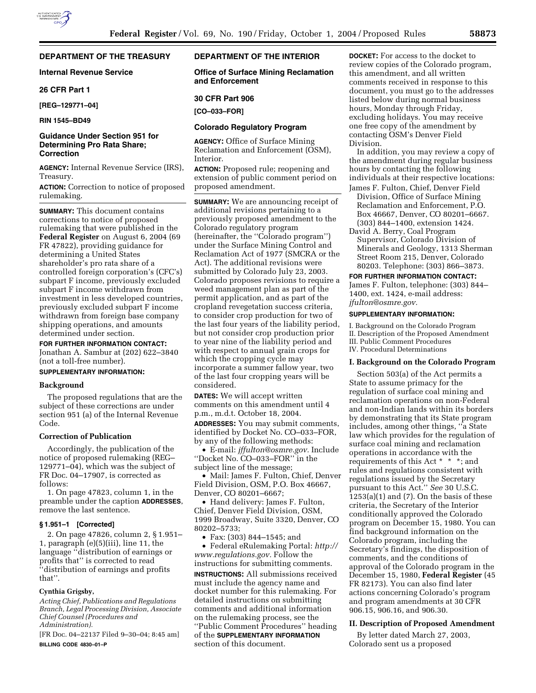# **DEPARTMENT OF THE TREASURY**

## **Internal Revenue Service**

## **26 CFR Part 1**

**[REG–129771–04]** 

**RIN 1545–BD49**

# **Guidance Under Section 951 for Determining Pro Rata Share; Correction**

**AGENCY:** Internal Revenue Service (IRS), Treasury.

**ACTION:** Correction to notice of proposed rulemaking.

**SUMMARY:** This document contains corrections to notice of proposed rulemaking that were published in the **Federal Register** on August 6, 2004 (69 FR 47822), providing guidance for determining a United States shareholder's pro rata share of a controlled foreign corporation's (CFC's) subpart F income, previously excluded subpart F income withdrawn from investment in less developed countries, previously excluded subpart F income withdrawn from foreign base company shipping operations, and amounts determined under section.

**FOR FURTHER INFORMATION CONTACT:**

Jonathan A. Sambur at (202) 622–3840 (not a toll-free number).

# **SUPPLEMENTARY INFORMATION:**

### **Background**

The proposed regulations that are the subject of these corrections are under section 951 (a) of the Internal Revenue Code.

### **Correction of Publication**

Accordingly, the publication of the notice of proposed rulemaking (REG– 129771–04), which was the subject of FR Doc. 04–17907, is corrected as follows:

1. On page 47823, column 1, in the preamble under the caption **ADDRESSES**, remove the last sentence.

## **§ 1.951–1 [Corrected]**

2. On page 47826, column 2, § 1.951– 1, paragraph (e)(5)(iii), line 11, the language ''distribution of earnings or profits that'' is corrected to read ''distribution of earnings and profits that''.

# **Cynthia Grigsby,**

*Acting Chief, Publications and Regulations Branch, Legal Processing Division, Associate Chief Counsel (Procedures and Administration).*

[FR Doc. 04–22137 Filed 9–30–04; 8:45 am] **BILLING CODE 4830–01–P**

# **DEPARTMENT OF THE INTERIOR**

**Office of Surface Mining Reclamation and Enforcement** 

#### **30 CFR Part 906**

**[CO–033–FOR]** 

## **Colorado Regulatory Program**

**AGENCY:** Office of Surface Mining Reclamation and Enforcement (OSM), Interior.

**ACTION:** Proposed rule; reopening and extension of public comment period on proposed amendment.

**SUMMARY:** We are announcing receipt of additional revisions pertaining to a previously proposed amendment to the Colorado regulatory program (hereinafter, the ''Colorado program'') under the Surface Mining Control and Reclamation Act of 1977 (SMCRA or the Act). The additional revisions were submitted by Colorado July 23, 2003. Colorado proposes revisions to require a weed management plan as part of the permit application, and as part of the cropland revegetation success criteria, to consider crop production for two of the last four years of the liability period, but not consider crop production prior to year nine of the liability period and with respect to annual grain crops for which the cropping cycle may incorporate a summer fallow year, two of the last four cropping years will be considered.

**DATES:** We will accept written comments on this amendment until 4 p.m., m.d.t. October 18, 2004.

**ADDRESSES:** You may submit comments, identified by Docket No. CO–033–FOR, by any of the following methods:

• E-mail: *jffulton@osmre.gov.* Include ''Docket No. CO–033–FOR'' in the subject line of the message;

• Mail: James F. Fulton, Chief, Denver Field Division, OSM, P.O. Box 46667, Denver, CO 80201–6667;

• Hand delivery: James F. Fulton, Chief, Denver Field Division, OSM, 1999 Broadway, Suite 3320, Denver, CO 80202–5733;

• Fax: (303) 844–1545; and

• Federal eRulemaking Portal: *http:// www.regulations.gov.* Follow the instructions for submitting comments. **INSTRUCTIONS:** All submissions received must include the agency name and docket number for this rulemaking. For detailed instructions on submitting comments and additional information on the rulemaking process, see the ''Public Comment Procedures'' heading of the **SUPPLEMENTARY INFORMATION** section of this document.

**DOCKET:** For access to the docket to review copies of the Colorado program, this amendment, and all written comments received in response to this document, you must go to the addresses listed below during normal business hours, Monday through Friday, excluding holidays. You may receive one free copy of the amendment by contacting OSM's Denver Field Division.

In addition, you may review a copy of the amendment during regular business hours by contacting the following individuals at their respective locations: James F. Fulton, Chief, Denver Field

Division, Office of Surface Mining Reclamation and Enforcement, P.O. Box 46667, Denver, CO 80201–6667. (303) 844–1400, extension 1424.

David A. Berry, Coal Program Supervisor, Colorado Division of Minerals and Geology, 1313 Sherman Street Room 215, Denver, Colorado 80203. Telephone: (303) 866–3873.

**FOR FURTHER INFORMATION CONTACT:**

James F. Fulton, telephone: (303) 844– 1400, ext. 1424, e-mail address: *jfulton@osmre.gov.*

#### **SUPPLEMENTARY INFORMATION:**

I. Background on the Colorado Program II. Description of the Proposed Amendment III. Public Comment Procedures IV. Procedural Determinations

#### **I. Background on the Colorado Program**

Section 503(a) of the Act permits a State to assume primacy for the regulation of surface coal mining and reclamation operations on non-Federal and non-Indian lands within its borders by demonstrating that its State program includes, among other things, ''a State law which provides for the regulation of surface coal mining and reclamation operations in accordance with the requirements of this Act \* \* \*; and rules and regulations consistent with regulations issued by the Secretary pursuant to this Act.'' *See* 30 U.S.C.  $1253(a)(1)$  and  $(7)$ . On the basis of these criteria, the Secretary of the Interior conditionally approved the Colorado program on December 15, 1980. You can find background information on the Colorado program, including the Secretary's findings, the disposition of comments, and the conditions of approval of the Colorado program in the December 15, 1980, **Federal Register** (45 FR 82173). You can also find later actions concerning Colorado's program and program amendments at 30 CFR 906.15, 906.16, and 906.30.

#### **II. Description of Proposed Amendment**

By letter dated March 27, 2003, Colorado sent us a proposed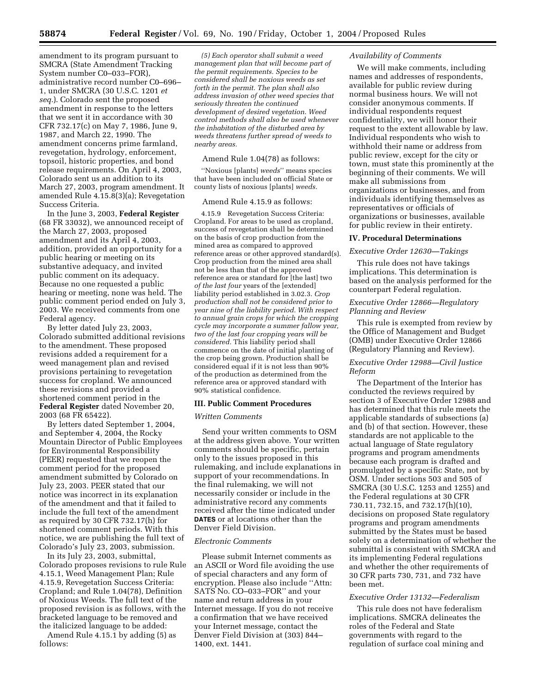amendment to its program pursuant to SMCRA (State Amendment Tracking System number C0–033–FOR), administrative record number C0–696– 1, under SMCRA (30 U.S.C. 1201 *et seq.*). Colorado sent the proposed amendment in response to the letters that we sent it in accordance with 30 CFR 732.17(c) on May 7, 1986, June 9, 1987, and March 22, 1990. The amendment concerns prime farmland, revegetation, hydrology, enforcement, topsoil, historic properties, and bond release requirements. On April 4, 2003, Colorado sent us an addition to its March 27, 2003, program amendment. It amended Rule 4.15.8(3)(a); Revegetation Success Criteria.

In the June 3, 2003, **Federal Register** (68 FR 33032), we announced receipt of the March 27, 2003, proposed amendment and its April 4, 2003, addition, provided an opportunity for a public hearing or meeting on its substantive adequacy, and invited public comment on its adequacy. Because no one requested a public hearing or meeting, none was held. The public comment period ended on July 3, 2003. We received comments from one Federal agency.

By letter dated July 23, 2003, Colorado submitted additional revisions to the amendment. These proposed revisions added a requirement for a weed management plan and revised provisions pertaining to revegetation success for cropland. We announced these revisions and provided a shortened comment period in the **Federal Register** dated November 20, 2003 (68 FR 65422).

By letters dated September 1, 2004, and September 4, 2004, the Rocky Mountain Director of Public Employees for Environmental Responsibility (PEER) requested that we reopen the comment period for the proposed amendment submitted by Colorado on July 23, 2003. PEER stated that our notice was incorrect in its explanation of the amendment and that it failed to include the full text of the amendment as required by 30 CFR 732.17(h) for shortened comment periods. With this notice, we are publishing the full text of Colorado's July 23, 2003, submission.

In its July 23, 2003, submittal, Colorado proposes revisions to rule Rule 4.15.1, Weed Management Plan; Rule 4.15.9, Revegetation Success Criteria: Cropland; and Rule 1.04(78), Definition of Noxious Weeds. The full text of the proposed revision is as follows, with the bracketed language to be removed and the italicized language to be added:

Amend Rule 4.15.1 by adding (5) as follows:

*(5) Each operator shall submit a weed management plan that will become part of the permit requirements. Species to be considered shall be noxious weeds as set forth in the permit. The plan shall also address invasion of other weed species that seriously threaten the continued development of desired vegetation. Weed control methods shall also be used whenever the inhabitation of the disturbed area by weeds threatens further spread of weeds to nearby areas.*

#### Amend Rule 1.04(78) as follows:

''Noxious [plants] *weeds*'' means species that have been included on official State or county lists of noxious [plants] *weeds.*

### Amend Rule 4.15.9 as follows:

4.15.9 Revegetation Success Criteria: Cropland. For areas to be used as cropland, success of revegetation shall be determined on the basis of crop production from the mined area as compared to approved reference areas or other approved standard(s). Crop production from the mined area shall not be less than that of the approved reference area or standard for [the last] two *of the last four* years of the [extended] liability period established in 3.02.3. *Crop production shall not be considered prior to year nine of the liability period. With respect to annual grain crops for which the cropping cycle may incorporate a summer fallow year, two of the last four cropping years will be considered.* This liability period shall commence on the date of initial planting of the crop being grown. Production shall be considered equal if it is not less than 90% of the production as determined from the reference area or approved standard with 90% statistical confidence.

#### **III. Public Comment Procedures**

#### *Written Comments*

Send your written comments to OSM at the address given above. Your written comments should be specific, pertain only to the issues proposed in this rulemaking, and include explanations in support of your recommendations. In the final rulemaking, we will not necessarily consider or include in the administrative record any comments received after the time indicated under **DATES** or at locations other than the Denver Field Division.

#### *Electronic Comments*

Please submit Internet comments as an ASCII or Word file avoiding the use of special characters and any form of encryption. Please also include ''Attn: SATS No. CO–033–FOR'' and your name and return address in your Internet message. If you do not receive a confirmation that we have received your Internet message, contact the Denver Field Division at (303) 844– 1400, ext. 1441.

## *Availability of Comments*

We will make comments, including names and addresses of respondents, available for public review during normal business hours. We will not consider anonymous comments. If individual respondents request confidentiality, we will honor their request to the extent allowable by law. Individual respondents who wish to withhold their name or address from public review, except for the city or town, must state this prominently at the beginning of their comments. We will make all submissions from organizations or businesses, and from individuals identifying themselves as representatives or officials of organizations or businesses, available for public review in their entirety.

# **IV. Procedural Determinations**

### *Executive Order 12630—Takings*

This rule does not have takings implications. This determination is based on the analysis performed for the counterpart Federal regulation.

## *Executive Order 12866—Regulatory Planning and Review*

This rule is exempted from review by the Office of Management and Budget (OMB) under Executive Order 12866 (Regulatory Planning and Review).

## *Executive Order 12988—Civil Justice Reform*

The Department of the Interior has conducted the reviews required by section 3 of Executive Order 12988 and has determined that this rule meets the applicable standards of subsections (a) and (b) of that section. However, these standards are not applicable to the actual language of State regulatory programs and program amendments because each program is drafted and promulgated by a specific State, not by OSM. Under sections 503 and 505 of SMCRA (30 U.S.C. 1253 and 1255) and the Federal regulations at 30 CFR 730.11, 732.15, and 732.17(h)(10), decisions on proposed State regulatory programs and program amendments submitted by the States must be based solely on a determination of whether the submittal is consistent with SMCRA and its implementing Federal regulations and whether the other requirements of 30 CFR parts 730, 731, and 732 have been met.

### *Executive Order 13132—Federalism*

This rule does not have federalism implications. SMCRA delineates the roles of the Federal and State governments with regard to the regulation of surface coal mining and